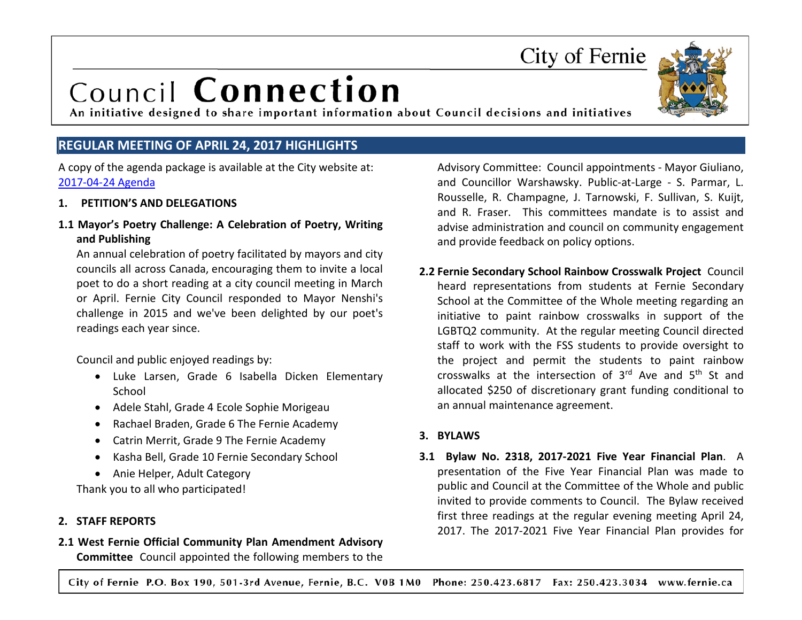#### City of Fernie P.O. Box 190, 501-3rd Avenue, Fernie, B.C. V0B 1M0 Phone: 250.423.6817 Fax: 250.423.3034 www.fernie.ca

### City of Fernie

## Council Connection

An initiative designed to share important information about Council decisions and initiatives

#### **REGULAR MEETING OF APRIL 24, 2017 HIGHLIGHTS**

A copy of the agenda package is available at the City website at: [2017-04-24](https://fernie.civicweb.net/document/62477) Agenda

#### **1. PETITION'S AND DELEGATIONS**

#### **1.1 Mayor's Poetry Challenge: A Celebration of Poetry, Writing and Publishing**

An annual celebration of poetry facilitated by mayors and city councils all across Canada, encouraging them to invite a local poet to do a short reading at a city council meeting in March or April. Fernie City Council responded to Mayor Nenshi's challenge in 2015 and we've been delighted by our poet's readings each year since.

Council and public enjoyed readings by:

- Luke Larsen, Grade 6 Isabella Dicken Elementary School
- Adele Stahl, Grade 4 Ecole Sophie Morigeau
- Rachael Braden, Grade 6 The Fernie Academy
- Catrin Merrit, Grade 9 The Fernie Academy
- Kasha Bell, Grade 10 Fernie Secondary School
- Anie Helper, Adult Category

Thank you to all who participated!

#### **2. STAFF REPORTS**

**2.1 West Fernie Official Community Plan Amendment Advisory Committee** Council appointed the following members to the Advisory Committee: Council appointments - Mayor Giuliano, and Councillor Warshawsky. Public-at-Large - S. Parmar, L. Rousselle, R. Champagne, J. Tarnowski, F. Sullivan, S. Kuijt, and R. Fraser. This committees mandate is to assist and advise administration and council on community engagement and provide feedback on policy options.

**2.2 Fernie Secondary School Rainbow Crosswalk Project** Council heard representations from students at Fernie Secondary School at the Committee of the Whole meeting regarding an initiative to paint rainbow crosswalks in support of the LGBTQ2 community. At the regular meeting Council directed staff to work with the FSS students to provide oversight to the project and permit the students to paint rainbow crosswalks at the intersection of  $3<sup>rd</sup>$  Ave and  $5<sup>th</sup>$  St and allocated \$250 of discretionary grant funding conditional to an annual maintenance agreement.

#### **3. BYLAWS**

**3.1 Bylaw No. 2318, 2017-2021 Five Year Financial Plan**. A presentation of the Five Year Financial Plan was made to public and Council at the Committee of the Whole and public invited to provide comments to Council. The Bylaw received first three readings at the regular evening meeting April 24, 2017. The 2017-2021 Five Year Financial Plan provides for